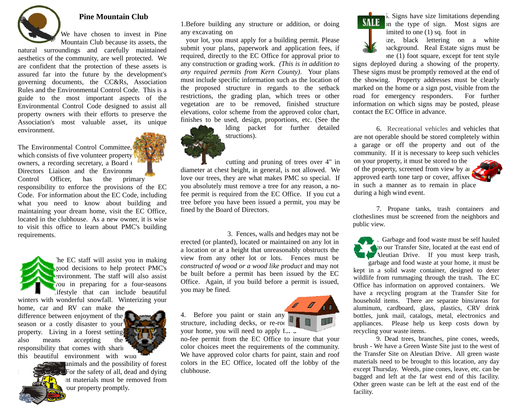

# **Pine Mountain Club**

We have chosen to invest in Pine Mountain Club because its assets, the

natural surroundings and carefully maintained aesthetics of the community, are well protected. We are confident that the protection of these assets is assured far into the future by the development's governing documents, the CC&Rs, Association Rules and the Environmental Control Code. This is a guide to the most important aspects of the Environmental Control Code designed to assist all property owners with their efforts to preserve the Association's most valuable asset, its unique environment.

The Environmental Control Committee, which consists of five volunteer property owners, a recording secretary, a Board of Directors Liaison and the Environment Control Officer, has the primary responsibility to enforce the provisions of the EC Code. For information about the EC Code, including what you need to know about building and maintaining your dream home, visit the EC Office, located in the clubhouse. As a new owner, it is wise to visit this office to learn about PMC's building requirements.

The EC staff will assist you in making good decisions to help protect PMC's environment. The staff will also assist  $\sqrt{\frac{1}{\pi}}$  you in preparing for a four-seasons lifestyle that can include beautiful winters with wonderful snowfall. Winterizing your home, car and RV can make the

difference between enjoyment of the season or a costly disaster to your property. Living in a forest setting<br>also means accepting the also means accepting the responsibility that comes with sharing this beautiful environment with wild



animals and the possibility of forest  $\epsilon$  For the safety of all, dead and dying nt materials must be removed from our property promptly.

1.Before building any structure or addition, or doing any excavating on

 your lot, you must apply for a building permit. Please submit your plans, paperwork and application fees, if required, directly to the EC Office for approval prior to any construction or grading work. *(This is in addition to any required permits from Kern County)*. Your plans must include specific information such as the location of the proposed structure in regards to the setback restrictions, the grading plan, which trees or other vegetation are to be removed, finished structure elevations, color scheme from the approved color chart, finishes to be used, design, proportions, etc. (See the

lding packet for further detailed structions).

cutting and pruning of trees over 4" in diameter at chest height, in general, is not allowed. We love our trees, they are what makes PMC so special. If you absolutely must remove a tree for any reason, a nofee permit is required from the EC Office. If you cut a tree before you have been issued a permit, you may be fined by the Board of Directors.

 3. Fences, walls and hedges may not be erected (or planted), located or maintained on any lot in a location or at a height that unreasonably obstructs the view from any other lot or lots. Fences must be *constructed of wood or a wood like product* and may not be built before a permit has been issued by the EC Office. Again, if you build before a permit is issued, you may be fined.

4. Before you paint or stain any structure, including decks, or re-roo your home, you will need to apply  $f_{\sim}$ .

no-fee permit from the EC Office to insure that your color choices meet the requirements of the community. We have approved color charts for paint, stain and roof colors in the EC Office, located off the lobby of the clubhouse.



5. Signs have size limitations depending **SALE** on the type of sign. Most signs are imited to one  $(1)$  sq. foot in

ize, black lettering on a white background. Real Estate signs must be one (1) foot square, except for tent style

signs deployed during a showing of the property. These signs must be promptly removed at the end of the showing. Property addresses must be clearly marked on the home or a sign post, visible from the road for emergency responders. For further information on which signs may be posted, please contact the EC Office in advance.

 6. Recreational vehicles and vehicles that are not operable should be stored completely within a garage or off the property and out of the community. If it is necessary to keep such vehicles on your property, it must be stored to the  $\mathbf r$ of the property, screened from view by an approved earth tone tarp or cover, affixed in such a manner as to remain in place during a high wind event.

 7. Propane tanks, trash containers and clotheslines must be screened from the neighbors and public view.

8. Garbage and food waste must be self hauled to our Transfer Site, located at the east end of Aleutian Drive. If you must keep trash,

garbage and food waste at your home, it must be kept in a solid waste container, designed to deter wildlife from rummaging through the trash. The EC Office has information on approved containers. We have a recycling program at the Transfer Site for household items. There are separate bins/areas for aluminum, cardboard, glass, plastics, CRV drink bottles, junk mail, catalogs, metal, electronics and appliances. Please help us keep costs down by recycling your waste items.

9. Dead trees, branches, pine cones, weeds, brush - We have a Green Waste Site just to the west of the Transfer Site on Aleutian Drive. All green waste materials need to be brought to this location, any day except Thursday. Weeds, pine cones, leave, etc. can be bagged and left at the far west end of this facility. Other green waste can be left at the east end of the facility.